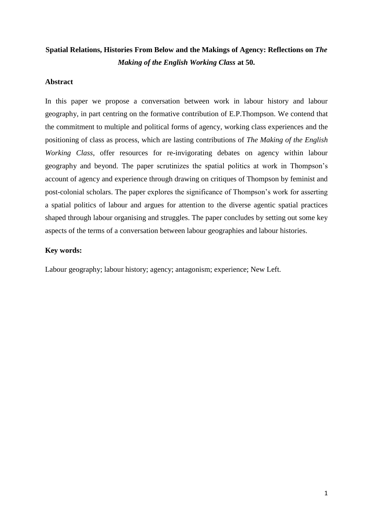# **Spatial Relations, Histories From Below and the Makings of Agency: Reflections on** *The Making of the English Working Class* **at 50.**

## **Abstract**

In this paper we propose a conversation between work in labour history and labour geography, in part centring on the formative contribution of E.P.Thompson. We contend that the commitment to multiple and political forms of agency, working class experiences and the positioning of class as process, which are lasting contributions of *The Making of the English Working Class*, offer resources for re-invigorating debates on agency within labour geography and beyond. The paper scrutinizes the spatial politics at work in Thompson's account of agency and experience through drawing on critiques of Thompson by feminist and post-colonial scholars. The paper explores the significance of Thompson's work for asserting a spatial politics of labour and argues for attention to the diverse agentic spatial practices shaped through labour organising and struggles. The paper concludes by setting out some key aspects of the terms of a conversation between labour geographies and labour histories.

# **Key words:**

Labour geography; labour history; agency; antagonism; experience; New Left.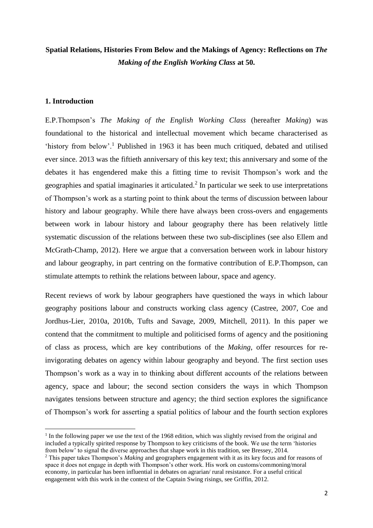# **Spatial Relations, Histories From Below and the Makings of Agency: Reflections on** *The Making of the English Working Class* **at 50.**

# **1. Introduction**

**.** 

E.P.Thompson's *The Making of the English Working Class* (hereafter *Making*) was foundational to the historical and intellectual movement which became characterised as 'history from below'.<sup>1</sup> Published in 1963 it has been much critiqued, debated and utilised ever since. 2013 was the fiftieth anniversary of this key text; this anniversary and some of the debates it has engendered make this a fitting time to revisit Thompson's work and the geographies and spatial imaginaries it articulated.<sup>2</sup> In particular we seek to use interpretations of Thompson's work as a starting point to think about the terms of discussion between labour history and labour geography. While there have always been cross-overs and engagements between work in labour history and labour geography there has been relatively little systematic discussion of the relations between these two sub-disciplines (see also Ellem and McGrath-Champ, 2012). Here we argue that a conversation between work in labour history and labour geography, in part centring on the formative contribution of E.P.Thompson, can stimulate attempts to rethink the relations between labour, space and agency.

Recent reviews of work by labour geographers have questioned the ways in which labour geography positions labour and constructs working class agency (Castree, 2007, Coe and Jordhus-Lier, 2010a, 2010b, Tufts and Savage, 2009, Mitchell, 2011). In this paper we contend that the commitment to multiple and politicised forms of agency and the positioning of class as process, which are key contributions of the *Making*, offer resources for reinvigorating debates on agency within labour geography and beyond. The first section uses Thompson's work as a way in to thinking about different accounts of the relations between agency, space and labour; the second section considers the ways in which Thompson navigates tensions between structure and agency; the third section explores the significance of Thompson's work for asserting a spatial politics of labour and the fourth section explores

<sup>&</sup>lt;sup>1</sup> In the following paper we use the text of the 1968 edition, which was slightly revised from the original and included a typically spirited response by Thompson to key criticisms of the book. We use the term 'histories from below' to signal the diverse approaches that shape work in this tradition, see Bressey, 2014.

<sup>2</sup> This paper takes Thompson's *Making* and geographers engagement with it as its key focus and for reasons of space it does not engage in depth with Thompson's other work. His work on customs/commoning/moral economy, in particular has been influential in debates on agrarian/ rural resistance. For a useful critical engagement with this work in the context of the Captain Swing risings, see Griffin, 2012.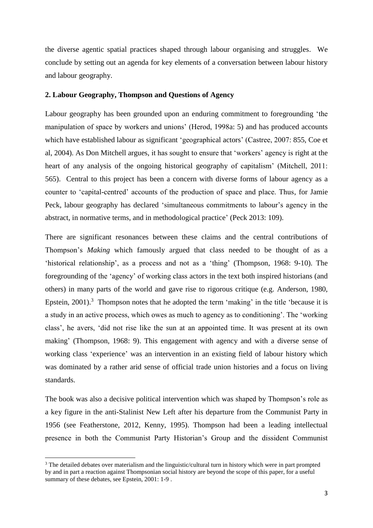the diverse agentic spatial practices shaped through labour organising and struggles.We conclude by setting out an agenda for key elements of a conversation between labour history and labour geography.

## **2. Labour Geography, Thompson and Questions of Agency**

Labour geography has been grounded upon an enduring commitment to foregrounding 'the manipulation of space by workers and unions' (Herod, 1998a: 5) and has produced accounts which have established labour as significant 'geographical actors' (Castree, 2007: 855, Coe et al, 2004). As Don Mitchell argues, it has sought to ensure that 'workers' agency is right at the heart of any analysis of the ongoing historical geography of capitalism' (Mitchell, 2011: 565). Central to this project has been a concern with diverse forms of labour agency as a counter to 'capital-centred' accounts of the production of space and place. Thus, for Jamie Peck, labour geography has declared 'simultaneous commitments to labour's agency in the abstract, in normative terms, and in methodological practice' (Peck 2013: 109).

There are significant resonances between these claims and the central contributions of Thompson's *Making* which famously argued that class needed to be thought of as a 'historical relationship', as a process and not as a 'thing' (Thompson, 1968: 9-10). The foregrounding of the 'agency' of working class actors in the text both inspired historians (and others) in many parts of the world and gave rise to rigorous critique (e.g. Anderson, 1980, Epstein,  $2001$ <sup>3</sup>. Thompson notes that he adopted the term 'making' in the title 'because it is a study in an active process, which owes as much to agency as to conditioning'. The 'working class', he avers, 'did not rise like the sun at an appointed time. It was present at its own making' (Thompson, 1968: 9). This engagement with agency and with a diverse sense of working class 'experience' was an intervention in an existing field of labour history which was dominated by a rather arid sense of official trade union histories and a focus on living standards.

The book was also a decisive political intervention which was shaped by Thompson's role as a key figure in the anti-Stalinist New Left after his departure from the Communist Party in 1956 (see Featherstone, 2012, Kenny, 1995). Thompson had been a leading intellectual presence in both the Communist Party Historian's Group and the dissident Communist

1

<sup>&</sup>lt;sup>3</sup> The detailed debates over materialism and the linguistic/cultural turn in history which were in part prompted by and in part a reaction against Thompsonian social history are beyond the scope of this paper, for a useful summary of these debates, see Epstein, 2001: 1-9 .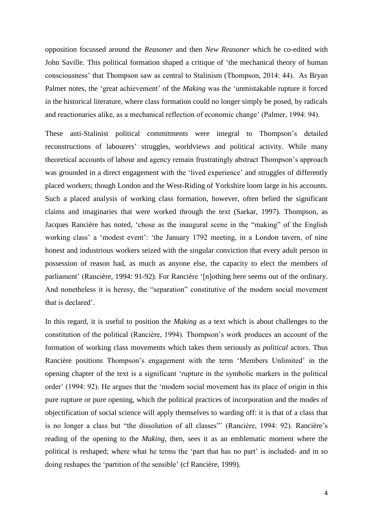opposition focussed around the *Reasoner* and then *New Reasoner* which he co-edited with John Saville. This political formation shaped a critique of 'the mechanical theory of human consciousness' that Thompson saw as central to Stalinism (Thompson, 2014: 44). As Bryan Palmer notes, the 'great achievement' of the *Making* was the 'unmistakable rupture it forced in the historical literature, where class formation could no longer simply be posed, by radicals and reactionaries alike, as a mechanical reflection of economic change' (Palmer, 1994: 94).

These anti-Stalinist political commitments were integral to Thompson's detailed reconstructions of labourers' struggles, worldviews and political activity. While many theoretical accounts of labour and agency remain frustratingly abstract Thompson's approach was grounded in a direct engagement with the 'lived experience' and struggles of differently placed workers; though London and the West-Riding of Yorkshire loom large in his accounts. Such a placed analysis of working class formation, however, often belied the significant claims and imaginaries that were worked through the text (Sarkar, 1997). Thompson, as Jacques Rancière has noted, 'chose as the inaugural scene in the "making" of the English working class' a 'modest event': 'the January 1792 meeting, in a London tavern, of nine honest and industrious workers seized with the singular conviction that every adult person in possession of reason had, as much as anyone else, the capacity to elect the members of parliament' (Rancière, 1994: 91-92). For Rancière '[n]othing here seems out of the ordinary. And nonetheless it is heresy, the "separation" constitutive of the modern social movement that is declared'.

In this regard, it is useful to position the *Making* as a text which is about challenges to the constitution of the political (Rancière, 1994). Thompson's work produces an account of the formation of working class movements which takes them seriously as *political* actors. Thus Rancière positions Thompson's engagement with the term 'Members Unlimited' in the opening chapter of the text is a significant 'rupture in the symbolic markers in the political order' (1994: 92). He argues that the 'modern social movement has its place of origin in this pure rupture or pure opening, which the political practices of incorporation and the modes of objectification of social science will apply themselves to warding off: it is that of a class that is no longer a class but "the dissolution of all classes"' (Rancière, 1994: 92). Rancière's reading of the opening to the *Making*, then, sees it as an emblematic moment where the political is reshaped; where what he terms the 'part that has no part' is included- and in so doing reshapes the 'partition of the sensible' (cf Rancière, 1999).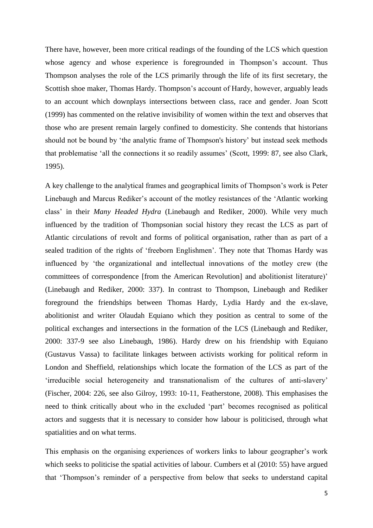There have, however, been more critical readings of the founding of the LCS which question whose agency and whose experience is foregrounded in Thompson's account. Thus Thompson analyses the role of the LCS primarily through the life of its first secretary, the Scottish shoe maker, Thomas Hardy. Thompson's account of Hardy, however, arguably leads to an account which downplays intersections between class, race and gender. Joan Scott (1999) has commented on the relative invisibility of women within the text and observes that those who are present remain largely confined to domesticity. She contends that historians should not be bound by 'the analytic frame of Thompson's history' but instead seek methods that problematise 'all the connections it so readily assumes' (Scott, 1999: 87, see also Clark, 1995).

A key challenge to the analytical frames and geographical limits of Thompson's work is Peter Linebaugh and Marcus Rediker's account of the motley resistances of the 'Atlantic working class' in their *Many Headed Hydra* (Linebaugh and Rediker, 2000). While very much influenced by the tradition of Thompsonian social history they recast the LCS as part of Atlantic circulations of revolt and forms of political organisation, rather than as part of a sealed tradition of the rights of 'freeborn Englishmen'. They note that Thomas Hardy was influenced by 'the organizational and intellectual innovations of the motley crew (the committees of correspondence [from the American Revolution] and abolitionist literature)' (Linebaugh and Rediker, 2000: 337). In contrast to Thompson, Linebaugh and Rediker foreground the friendships between Thomas Hardy, Lydia Hardy and the ex-slave, abolitionist and writer Olaudah Equiano which they position as central to some of the political exchanges and intersections in the formation of the LCS (Linebaugh and Rediker, 2000: 337-9 see also Linebaugh, 1986). Hardy drew on his friendship with Equiano (Gustavus Vassa) to facilitate linkages between activists working for political reform in London and Sheffield, relationships which locate the formation of the LCS as part of the 'irreducible social heterogeneity and transnationalism of the cultures of anti-slavery' (Fischer, 2004: 226, see also Gilroy, 1993: 10-11, Featherstone, 2008). This emphasises the need to think critically about who in the excluded 'part' becomes recognised as political actors and suggests that it is necessary to consider how labour is politicised, through what spatialities and on what terms.

This emphasis on the organising experiences of workers links to labour geographer's work which seeks to politicise the spatial activities of labour. Cumbers et al (2010: 55) have argued that 'Thompson's reminder of a perspective from below that seeks to understand capital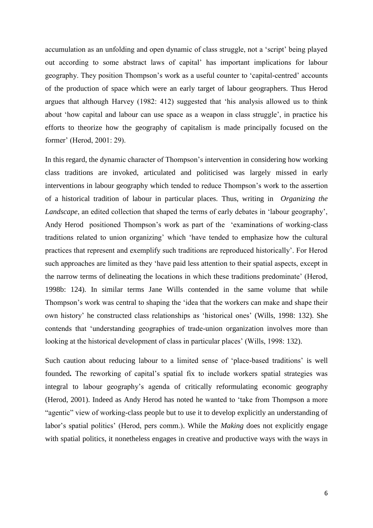accumulation as an unfolding and open dynamic of class struggle, not a 'script' being played out according to some abstract laws of capital' has important implications for labour geography. They position Thompson's work as a useful counter to 'capital-centred' accounts of the production of space which were an early target of labour geographers. Thus Herod argues that although Harvey (1982: 412) suggested that 'his analysis allowed us to think about 'how capital and labour can use space as a weapon in class struggle', in practice his efforts to theorize how the geography of capitalism is made principally focused on the former' (Herod, 2001: 29).

In this regard, the dynamic character of Thompson's intervention in considering how working class traditions are invoked, articulated and politicised was largely missed in early interventions in labour geography which tended to reduce Thompson's work to the assertion of a historical tradition of labour in particular places. Thus, writing in *Organizing the Landscape*, an edited collection that shaped the terms of early debates in 'labour geography', Andy Herod positioned Thompson's work as part of the 'examinations of working-class traditions related to union organizing' which 'have tended to emphasize how the cultural practices that represent and exemplify such traditions are reproduced historically'. For Herod such approaches are limited as they 'have paid less attention to their spatial aspects, except in the narrow terms of delineating the locations in which these traditions predominate' (Herod, 1998b: 124). In similar terms Jane Wills contended in the same volume that while Thompson's work was central to shaping the 'idea that the workers can make and shape their own history' he constructed class relationships as 'historical ones' (Wills, 1998: 132). She contends that 'understanding geographies of trade-union organization involves more than looking at the historical development of class in particular places' (Wills, 1998: 132).

Such caution about reducing labour to a limited sense of 'place-based traditions' is well founded**.** The reworking of capital's spatial fix to include workers spatial strategies was integral to labour geography's agenda of critically reformulating economic geography (Herod, 2001). Indeed as Andy Herod has noted he wanted to 'take from Thompson a more "agentic" view of working-class people but to use it to develop explicitly an understanding of labor's spatial politics' (Herod, pers comm.). While the *Making* does not explicitly engage with spatial politics, it nonetheless engages in creative and productive ways with the ways in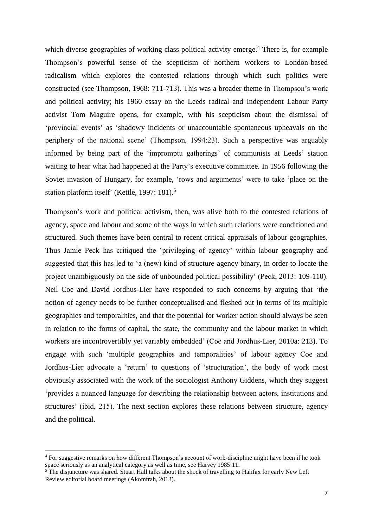which diverse geographies of working class political activity emerge.<sup>4</sup> There is, for example Thompson's powerful sense of the scepticism of northern workers to London-based radicalism which explores the contested relations through which such politics were constructed (see Thompson, 1968: 711-713). This was a broader theme in Thompson's work and political activity; his 1960 essay on the Leeds radical and Independent Labour Party activist Tom Maguire opens, for example, with his scepticism about the dismissal of 'provincial events' as 'shadowy incidents or unaccountable spontaneous upheavals on the periphery of the national scene' (Thompson, 1994:23). Such a perspective was arguably informed by being part of the 'impromptu gatherings' of communists at Leeds' station waiting to hear what had happened at the Party's executive committee. In 1956 following the Soviet invasion of Hungary, for example, 'rows and arguments' were to take 'place on the station platform itself' (Kettle, 1997: 181).<sup>5</sup>

Thompson's work and political activism, then, was alive both to the contested relations of agency, space and labour and some of the ways in which such relations were conditioned and structured. Such themes have been central to recent critical appraisals of labour geographies. Thus Jamie Peck has critiqued the 'privileging of agency' within labour geography and suggested that this has led to 'a (new) kind of structure-agency binary, in order to locate the project unambiguously on the side of unbounded political possibility' (Peck, 2013: 109-110). Neil Coe and David Jordhus-Lier have responded to such concerns by arguing that 'the notion of agency needs to be further conceptualised and fleshed out in terms of its multiple geographies and temporalities, and that the potential for worker action should always be seen in relation to the forms of capital, the state, the community and the labour market in which workers are incontrovertibly yet variably embedded' (Coe and Jordhus-Lier, 2010a: 213). To engage with such 'multiple geographies and temporalities' of labour agency Coe and Jordhus-Lier advocate a 'return' to questions of 'structuration', the body of work most obviously associated with the work of the sociologist Anthony Giddens, which they suggest 'provides a nuanced language for describing the relationship between actors, institutions and structures' (ibid, 215). The next section explores these relations between structure, agency and the political.

<sup>&</sup>lt;sup>4</sup> For suggestive remarks on how different Thompson's account of work-discipline might have been if he took space seriously as an analytical category as well as time, see Harvey 1985:11.

<sup>&</sup>lt;sup>5</sup> The disjuncture was shared. Stuart Hall talks about the shock of travelling to Halifax for early New Left Review editorial board meetings (Akomfrah, 2013).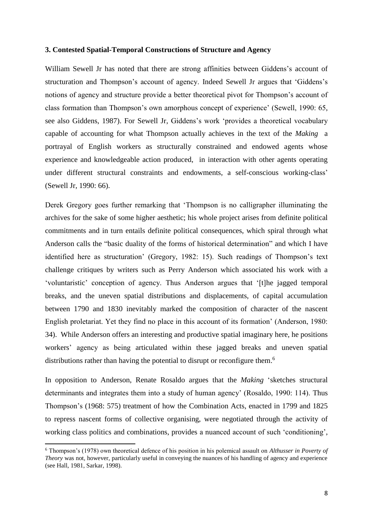#### **3. Contested Spatial-Temporal Constructions of Structure and Agency**

William Sewell Jr has noted that there are strong affinities between Giddens's account of structuration and Thompson's account of agency. Indeed Sewell Jr argues that 'Giddens's notions of agency and structure provide a better theoretical pivot for Thompson's account of class formation than Thompson's own amorphous concept of experience' (Sewell, 1990: 65, see also Giddens, 1987). For Sewell Jr, Giddens's work 'provides a theoretical vocabulary capable of accounting for what Thompson actually achieves in the text of the *Making* a portrayal of English workers as structurally constrained and endowed agents whose experience and knowledgeable action produced, in interaction with other agents operating under different structural constraints and endowments, a self-conscious working-class' (Sewell Jr, 1990: 66).

Derek Gregory goes further remarking that 'Thompson is no calligrapher illuminating the archives for the sake of some higher aesthetic; his whole project arises from definite political commitments and in turn entails definite political consequences, which spiral through what Anderson calls the "basic duality of the forms of historical determination" and which I have identified here as structuration' (Gregory, 1982: 15). Such readings of Thompson's text challenge critiques by writers such as Perry Anderson which associated his work with a 'voluntaristic' conception of agency. Thus Anderson argues that '[t]he jagged temporal breaks, and the uneven spatial distributions and displacements, of capital accumulation between 1790 and 1830 inevitably marked the composition of character of the nascent English proletariat. Yet they find no place in this account of its formation' (Anderson, 1980: 34). While Anderson offers an interesting and productive spatial imaginary here, he positions workers' agency as being articulated within these jagged breaks and uneven spatial distributions rather than having the potential to disrupt or reconfigure them.<sup>6</sup>

In opposition to Anderson, Renate Rosaldo argues that the *Making* 'sketches structural determinants and integrates them into a study of human agency' (Rosaldo, 1990: 114). Thus Thompson's (1968: 575) treatment of how the Combination Acts, enacted in 1799 and 1825 to repress nascent forms of collective organising, were negotiated through the activity of working class politics and combinations, provides a nuanced account of such 'conditioning',

<sup>6</sup> Thompson's (1978) own theoretical defence of his position in his polemical assault on *Althusser in Poverty of Theory* was not, however, particularly useful in conveying the nuances of his handling of agency and experience (see Hall, 1981, Sarkar, 1998).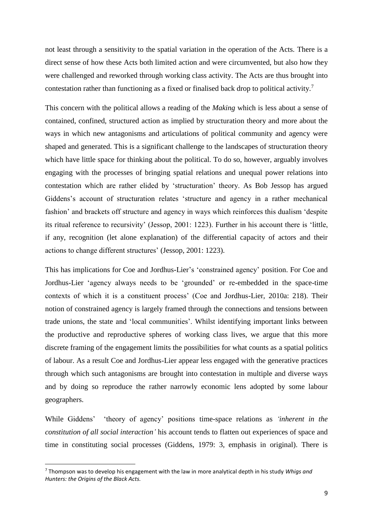not least through a sensitivity to the spatial variation in the operation of the Acts. There is a direct sense of how these Acts both limited action and were circumvented, but also how they were challenged and reworked through working class activity. The Acts are thus brought into contestation rather than functioning as a fixed or finalised back drop to political activity.<sup>7</sup>

This concern with the political allows a reading of the *Making* which is less about a sense of contained, confined, structured action as implied by structuration theory and more about the ways in which new antagonisms and articulations of political community and agency were shaped and generated. This is a significant challenge to the landscapes of structuration theory which have little space for thinking about the political. To do so, however, arguably involves engaging with the processes of bringing spatial relations and unequal power relations into contestation which are rather elided by 'structuration' theory. As Bob Jessop has argued Giddens's account of structuration relates 'structure and agency in a rather mechanical fashion' and brackets off structure and agency in ways which reinforces this dualism 'despite its ritual reference to recursivity' (Jessop, 2001: 1223). Further in his account there is 'little, if any, recognition (let alone explanation) of the differential capacity of actors and their actions to change different structures' (Jessop, 2001: 1223).

This has implications for Coe and Jordhus-Lier's 'constrained agency' position. For Coe and Jordhus-Lier 'agency always needs to be 'grounded' or re-embedded in the space-time contexts of which it is a constituent process' (Coe and Jordhus-Lier, 2010a: 218). Their notion of constrained agency is largely framed through the connections and tensions between trade unions, the state and 'local communities'. Whilst identifying important links between the productive and reproductive spheres of working class lives, we argue that this more discrete framing of the engagement limits the possibilities for what counts as a spatial politics of labour. As a result Coe and Jordhus-Lier appear less engaged with the generative practices through which such antagonisms are brought into contestation in multiple and diverse ways and by doing so reproduce the rather narrowly economic lens adopted by some labour geographers.

While Giddens' 'theory of agency' positions time-space relations as *'inherent in the constitution of all social interaction'* his account tends to flatten out experiences of space and time in constituting social processes (Giddens, 1979: 3, emphasis in original). There is

<sup>7</sup> Thompson was to develop his engagement with the law in more analytical depth in his study *Whigs and Hunters: the Origins of the Black Acts.*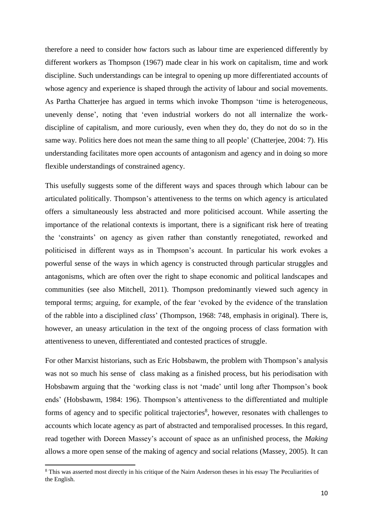therefore a need to consider how factors such as labour time are experienced differently by different workers as Thompson (1967) made clear in his work on capitalism, time and work discipline. Such understandings can be integral to opening up more differentiated accounts of whose agency and experience is shaped through the activity of labour and social movements. As Partha Chatterjee has argued in terms which invoke Thompson 'time is heterogeneous, unevenly dense', noting that 'even industrial workers do not all internalize the workdiscipline of capitalism, and more curiously, even when they do, they do not do so in the same way. Politics here does not mean the same thing to all people' (Chatterjee, 2004: 7). His understanding facilitates more open accounts of antagonism and agency and in doing so more flexible understandings of constrained agency.

This usefully suggests some of the different ways and spaces through which labour can be articulated politically. Thompson's attentiveness to the terms on which agency is articulated offers a simultaneously less abstracted and more politicised account. While asserting the importance of the relational contexts is important, there is a significant risk here of treating the 'constraints' on agency as given rather than constantly renegotiated, reworked and politicised in different ways as in Thompson's account. In particular his work evokes a powerful sense of the ways in which agency is constructed through particular struggles and antagonisms, which are often over the right to shape economic and political landscapes and communities (see also Mitchell, 2011). Thompson predominantly viewed such agency in temporal terms; arguing, for example, of the fear 'evoked by the evidence of the translation of the rabble into a disciplined *class*' (Thompson, 1968: 748, emphasis in original). There is, however, an uneasy articulation in the text of the ongoing process of class formation with attentiveness to uneven, differentiated and contested practices of struggle.

For other Marxist historians, such as Eric Hobsbawm, the problem with Thompson's analysis was not so much his sense of class making as a finished process, but his periodisation with Hobsbawm arguing that the 'working class is not 'made' until long after Thompson's book ends' (Hobsbawm, 1984: 196). Thompson's attentiveness to the differentiated and multiple forms of agency and to specific political trajectories<sup>8</sup>, however, resonates with challenges to accounts which locate agency as part of abstracted and temporalised processes. In this regard, read together with Doreen Massey's account of space as an unfinished process, the *Making* allows a more open sense of the making of agency and social relations (Massey, 2005). It can

<sup>&</sup>lt;sup>8</sup> This was asserted most directly in his critique of the Nairn Anderson theses in his essay The Peculiarities of the English.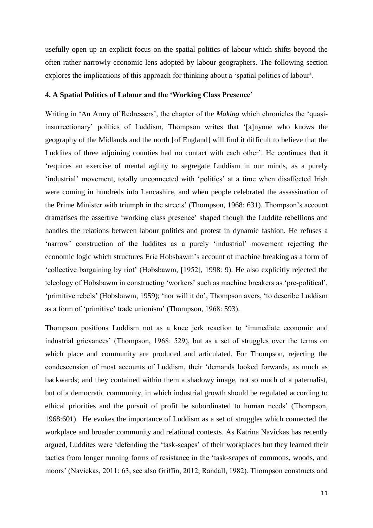usefully open up an explicit focus on the spatial politics of labour which shifts beyond the often rather narrowly economic lens adopted by labour geographers. The following section explores the implications of this approach for thinking about a 'spatial politics of labour'.

#### **4. A Spatial Politics of Labour and the 'Working Class Presence'**

Writing in 'An Army of Redressers', the chapter of the *Making* which chronicles the 'quasiinsurrectionary' politics of Luddism, Thompson writes that '[a]nyone who knows the geography of the Midlands and the north [of England] will find it difficult to believe that the Luddites of three adjoining counties had no contact with each other'. He continues that it 'requires an exercise of mental agility to segregate Luddism in our minds, as a purely 'industrial' movement, totally unconnected with 'politics' at a time when disaffected Irish were coming in hundreds into Lancashire, and when people celebrated the assassination of the Prime Minister with triumph in the streets' (Thompson, 1968: 631). Thompson's account dramatises the assertive 'working class presence' shaped though the Luddite rebellions and handles the relations between labour politics and protest in dynamic fashion. He refuses a 'narrow' construction of the luddites as a purely 'industrial' movement rejecting the economic logic which structures Eric Hobsbawm's account of machine breaking as a form of 'collective bargaining by riot' (Hobsbawm, [1952], 1998: 9). He also explicitly rejected the teleology of Hobsbawm in constructing 'workers' such as machine breakers as 'pre-political', 'primitive rebels' (Hobsbawm, 1959); 'nor will it do', Thompson avers, 'to describe Luddism as a form of 'primitive' trade unionism' (Thompson, 1968: 593).

Thompson positions Luddism not as a knee jerk reaction to 'immediate economic and industrial grievances' (Thompson, 1968: 529), but as a set of struggles over the terms on which place and community are produced and articulated. For Thompson, rejecting the condescension of most accounts of Luddism, their 'demands looked forwards, as much as backwards; and they contained within them a shadowy image, not so much of a paternalist, but of a democratic community, in which industrial growth should be regulated according to ethical priorities and the pursuit of profit be subordinated to human needs' (Thompson, 1968:601). He evokes the importance of Luddism as a set of struggles which connected the workplace and broader community and relational contexts. As Katrina Navickas has recently argued, Luddites were 'defending the 'task-scapes' of their workplaces but they learned their tactics from longer running forms of resistance in the 'task-scapes of commons, woods, and moors' (Navickas, 2011: 63, see also Griffin, 2012, Randall, 1982). Thompson constructs and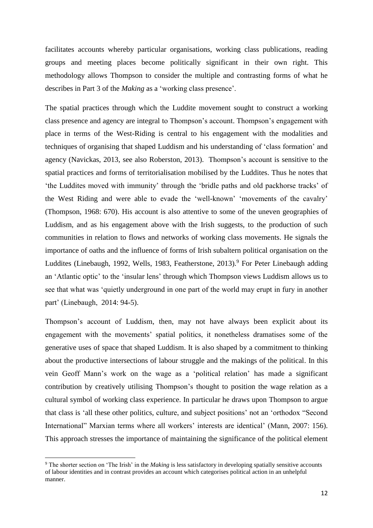facilitates accounts whereby particular organisations, working class publications, reading groups and meeting places become politically significant in their own right. This methodology allows Thompson to consider the multiple and contrasting forms of what he describes in Part 3 of the *Making* as a 'working class presence'.

The spatial practices through which the Luddite movement sought to construct a working class presence and agency are integral to Thompson's account. Thompson's engagement with place in terms of the West-Riding is central to his engagement with the modalities and techniques of organising that shaped Luddism and his understanding of 'class formation' and agency (Navickas, 2013, see also Roberston, 2013). Thompson's account is sensitive to the spatial practices and forms of territorialisation mobilised by the Luddites. Thus he notes that 'the Luddites moved with immunity' through the 'bridle paths and old packhorse tracks' of the West Riding and were able to evade the 'well-known' 'movements of the cavalry' (Thompson, 1968: 670). His account is also attentive to some of the uneven geographies of Luddism, and as his engagement above with the Irish suggests, to the production of such communities in relation to flows and networks of working class movements. He signals the importance of oaths and the influence of forms of Irish subaltern political organisation on the Luddites (Linebaugh, 1992, Wells, 1983, Featherstone, 2013).<sup>9</sup> For Peter Linebaugh adding an 'Atlantic optic' to the 'insular lens' through which Thompson views Luddism allows us to see that what was 'quietly underground in one part of the world may erupt in fury in another part' (Linebaugh, 2014: 94-5).

Thompson's account of Luddism, then, may not have always been explicit about its engagement with the movements' spatial politics, it nonetheless dramatises some of the generative uses of space that shaped Luddism. It is also shaped by a commitment to thinking about the productive intersections of labour struggle and the makings of the political. In this vein Geoff Mann's work on the wage as a 'political relation' has made a significant contribution by creatively utilising Thompson's thought to position the wage relation as a cultural symbol of working class experience. In particular he draws upon Thompson to argue that class is 'all these other politics, culture, and subject positions' not an 'orthodox "Second International" Marxian terms where all workers' interests are identical' (Mann, 2007: 156). This approach stresses the importance of maintaining the significance of the political element

1

<sup>9</sup> The shorter section on 'The Irish' in the *Making* is less satisfactory in developing spatially sensitive accounts of labour identities and in contrast provides an account which categorises political action in an unhelpful manner.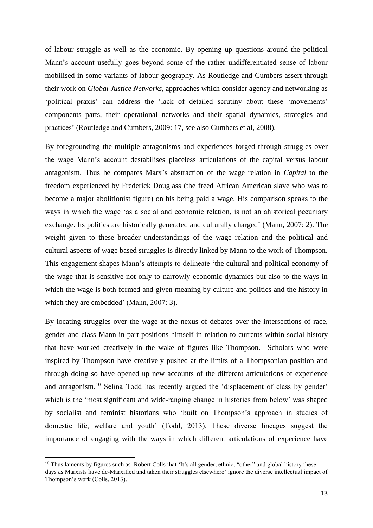of labour struggle as well as the economic. By opening up questions around the political Mann's account usefully goes beyond some of the rather undifferentiated sense of labour mobilised in some variants of labour geography. As Routledge and Cumbers assert through their work on *Global Justice Networks*, approaches which consider agency and networking as 'political praxis' can address the 'lack of detailed scrutiny about these 'movements' components parts, their operational networks and their spatial dynamics, strategies and practices' (Routledge and Cumbers, 2009: 17, see also Cumbers et al, 2008).

By foregrounding the multiple antagonisms and experiences forged through struggles over the wage Mann's account destabilises placeless articulations of the capital versus labour antagonism. Thus he compares Marx's abstraction of the wage relation in *Capital* to the freedom experienced by Frederick Douglass (the freed African American slave who was to become a major abolitionist figure) on his being paid a wage. His comparison speaks to the ways in which the wage 'as a social and economic relation, is not an ahistorical pecuniary exchange. Its politics are historically generated and culturally charged' (Mann, 2007: 2). The weight given to these broader understandings of the wage relation and the political and cultural aspects of wage based struggles is directly linked by Mann to the work of Thompson. This engagement shapes Mann's attempts to delineate 'the cultural and political economy of the wage that is sensitive not only to narrowly economic dynamics but also to the ways in which the wage is both formed and given meaning by culture and politics and the history in which they are embedded' (Mann, 2007: 3).

By locating struggles over the wage at the nexus of debates over the intersections of race, gender and class Mann in part positions himself in relation to currents within social history that have worked creatively in the wake of figures like Thompson. Scholars who were inspired by Thompson have creatively pushed at the limits of a Thompsonian position and through doing so have opened up new accounts of the different articulations of experience and antagonism.<sup>10</sup> Selina Todd has recently argued the 'displacement of class by gender' which is the 'most significant and wide-ranging change in histories from below' was shaped by socialist and feminist historians who 'built on Thompson's approach in studies of domestic life, welfare and youth' (Todd, 2013). These diverse lineages suggest the importance of engaging with the ways in which different articulations of experience have

<sup>&</sup>lt;sup>10</sup> Thus laments by figures such as Robert Colls that 'It's all gender, ethnic, "other" and global history these days as Marxists have de-Marxified and taken their struggles elsewhere' ignore the diverse intellectual impact of Thompson's work (Colls, 2013).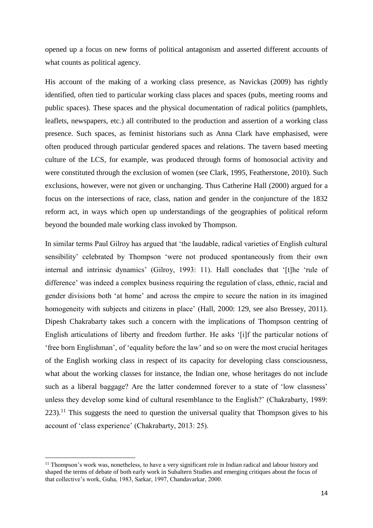opened up a focus on new forms of political antagonism and asserted different accounts of what counts as political agency.

His account of the making of a working class presence, as Navickas (2009) has rightly identified, often tied to particular working class places and spaces (pubs, meeting rooms and public spaces). These spaces and the physical documentation of radical politics (pamphlets, leaflets, newspapers, etc.) all contributed to the production and assertion of a working class presence. Such spaces, as feminist historians such as Anna Clark have emphasised, were often produced through particular gendered spaces and relations. The tavern based meeting culture of the LCS, for example, was produced through forms of homosocial activity and were constituted through the exclusion of women (see Clark, 1995, Featherstone, 2010). Such exclusions, however, were not given or unchanging. Thus Catherine Hall (2000) argued for a focus on the intersections of race, class, nation and gender in the conjuncture of the 1832 reform act, in ways which open up understandings of the geographies of political reform beyond the bounded male working class invoked by Thompson.

In similar terms Paul Gilroy has argued that 'the laudable, radical varieties of English cultural sensibility' celebrated by Thompson 'were not produced spontaneously from their own internal and intrinsic dynamics' (Gilroy, 1993: 11). Hall concludes that '[t]he 'rule of difference' was indeed a complex business requiring the regulation of class, ethnic, racial and gender divisions both 'at home' and across the empire to secure the nation in its imagined homogeneity with subjects and citizens in place' (Hall, 2000: 129, see also Bressey, 2011). Dipesh Chakrabarty takes such a concern with the implications of Thompson centring of English articulations of liberty and freedom further. He asks '[i]f the particular notions of 'free born Englishman', of 'equality before the law' and so on were the most crucial heritages of the English working class in respect of its capacity for developing class consciousness, what about the working classes for instance, the Indian one, whose heritages do not include such as a liberal baggage? Are the latter condemned forever to a state of 'low classness' unless they develop some kind of cultural resemblance to the English?' (Chakrabarty, 1989:  $223$ <sup>11</sup>. This suggests the need to question the universal quality that Thompson gives to his account of 'class experience' (Chakrabarty, 2013: 25).

1

<sup>&</sup>lt;sup>11</sup> Thompson's work was, nonetheless, to have a very significant role in Indian radical and labour history and shaped the terms of debate of both early work in Subaltern Studies and emerging critiques about the focus of that collective's work, Guha, 1983, Sarkar, 1997, Chandavarkar, 2000.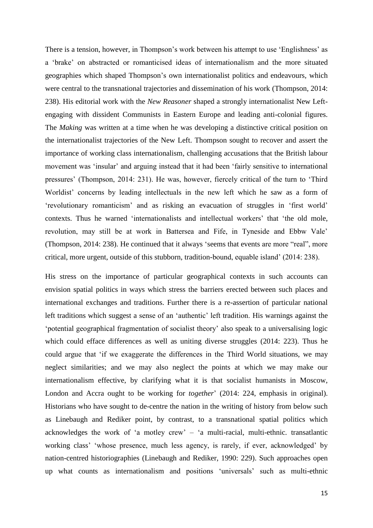There is a tension, however, in Thompson's work between his attempt to use 'Englishness' as a 'brake' on abstracted or romanticised ideas of internationalism and the more situated geographies which shaped Thompson's own internationalist politics and endeavours*,* which were central to the transnational trajectories and dissemination of his work (Thompson, 2014: 238). His editorial work with the *New Reasoner* shaped a strongly internationalist New Leftengaging with dissident Communists in Eastern Europe and leading anti-colonial figures. The *Making* was written at a time when he was developing a distinctive critical position on the internationalist trajectories of the New Left. Thompson sought to recover and assert the importance of working class internationalism, challenging accusations that the British labour movement was 'insular' and arguing instead that it had been 'fairly sensitive to international pressures' (Thompson, 2014: 231). He was, however, fiercely critical of the turn to 'Third Worldist' concerns by leading intellectuals in the new left which he saw as a form of 'revolutionary romanticism' and as risking an evacuation of struggles in 'first world' contexts. Thus he warned 'internationalists and intellectual workers' that 'the old mole, revolution, may still be at work in Battersea and Fife, in Tyneside and Ebbw Vale' (Thompson, 2014: 238). He continued that it always 'seems that events are more "real", more critical, more urgent, outside of this stubborn, tradition-bound, equable island' (2014: 238).

His stress on the importance of particular geographical contexts in such accounts can envision spatial politics in ways which stress the barriers erected between such places and international exchanges and traditions. Further there is a re-assertion of particular national left traditions which suggest a sense of an 'authentic' left tradition. His warnings against the 'potential geographical fragmentation of socialist theory' also speak to a universalising logic which could efface differences as well as uniting diverse struggles (2014: 223). Thus he could argue that 'if we exaggerate the differences in the Third World situations, we may neglect similarities; and we may also neglect the points at which we may make our internationalism effective, by clarifying what it is that socialist humanists in Moscow, London and Accra ought to be working for *together*' (2014: 224, emphasis in original). Historians who have sought to de-centre the nation in the writing of history from below such as Linebaugh and Rediker point, by contrast, to a transnational spatial politics which acknowledges the work of 'a motley crew' – 'a multi-racial, multi-ethnic. transatlantic working class' 'whose presence, much less agency, is rarely, if ever, acknowledged' by nation-centred historiographies (Linebaugh and Rediker, 1990: 229). Such approaches open up what counts as internationalism and positions 'universals' such as multi-ethnic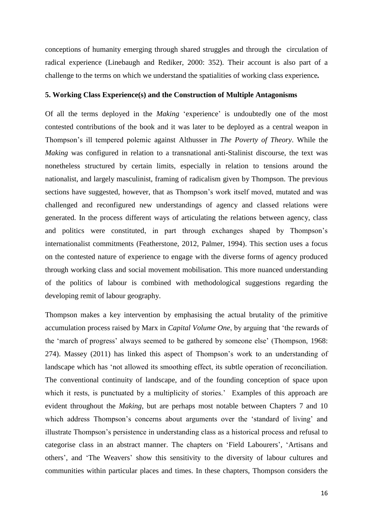conceptions of humanity emerging through shared struggles and through the circulation of radical experience (Linebaugh and Rediker, 2000: 352). Their account is also part of a challenge to the terms on which we understand the spatialities of working class experience*.* 

#### **5. Working Class Experience(s) and the Construction of Multiple Antagonisms**

Of all the terms deployed in the *Making* 'experience' is undoubtedly one of the most contested contributions of the book and it was later to be deployed as a central weapon in Thompson's ill tempered polemic against Althusser in *The Poverty of Theory*. While the *Making* was configured in relation to a transnational anti-Stalinist discourse, the text was nonetheless structured by certain limits, especially in relation to tensions around the nationalist, and largely masculinist, framing of radicalism given by Thompson. The previous sections have suggested, however, that as Thompson's work itself moved, mutated and was challenged and reconfigured new understandings of agency and classed relations were generated. In the process different ways of articulating the relations between agency, class and politics were constituted, in part through exchanges shaped by Thompson's internationalist commitments (Featherstone, 2012, Palmer, 1994). This section uses a focus on the contested nature of experience to engage with the diverse forms of agency produced through working class and social movement mobilisation. This more nuanced understanding of the politics of labour is combined with methodological suggestions regarding the developing remit of labour geography.

Thompson makes a key intervention by emphasising the actual brutality of the primitive accumulation process raised by Marx in *Capital Volume One*, by arguing that 'the rewards of the 'march of progress' always seemed to be gathered by someone else' (Thompson, 1968: 274). Massey (2011) has linked this aspect of Thompson's work to an understanding of landscape which has 'not allowed its smoothing effect, its subtle operation of reconciliation. The conventional continuity of landscape, and of the founding conception of space upon which it rests, is punctuated by a multiplicity of stories.' Examples of this approach are evident throughout the *Making*, but are perhaps most notable between Chapters 7 and 10 which address Thompson's concerns about arguments over the 'standard of living' and illustrate Thompson's persistence in understanding class as a historical process and refusal to categorise class in an abstract manner. The chapters on 'Field Labourers', 'Artisans and others', and 'The Weavers' show this sensitivity to the diversity of labour cultures and communities within particular places and times. In these chapters, Thompson considers the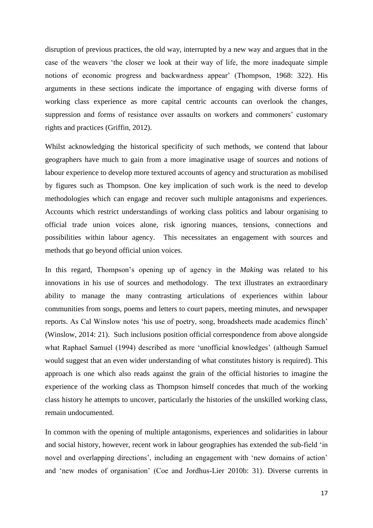disruption of previous practices, the old way, interrupted by a new way and argues that in the case of the weavers 'the closer we look at their way of life, the more inadequate simple notions of economic progress and backwardness appear' (Thompson, 1968: 322). His arguments in these sections indicate the importance of engaging with diverse forms of working class experience as more capital centric accounts can overlook the changes, suppression and forms of resistance over assaults on workers and commoners' customary rights and practices (Griffin, 2012).

Whilst acknowledging the historical specificity of such methods, we contend that labour geographers have much to gain from a more imaginative usage of sources and notions of labour experience to develop more textured accounts of agency and structuration as mobilised by figures such as Thompson. One key implication of such work is the need to develop methodologies which can engage and recover such multiple antagonisms and experiences. Accounts which restrict understandings of working class politics and labour organising to official trade union voices alone, risk ignoring nuances, tensions, connections and possibilities within labour agency. This necessitates an engagement with sources and methods that go beyond official union voices.

In this regard, Thompson's opening up of agency in the *Making* was related to his innovations in his use of sources and methodology. The text illustrates an extraordinary ability to manage the many contrasting articulations of experiences within labour communities from songs, poems and letters to court papers, meeting minutes, and newspaper reports. As Cal Winslow notes 'his use of poetry, song, broadsheets made academics flinch' (Winslow, 2014: 21). Such inclusions position official correspondence from above alongside what Raphael Samuel (1994) described as more 'unofficial knowledges' (although Samuel would suggest that an even wider understanding of what constitutes history is required). This approach is one which also reads against the grain of the official histories to imagine the experience of the working class as Thompson himself concedes that much of the working class history he attempts to uncover, particularly the histories of the unskilled working class, remain undocumented.

In common with the opening of multiple antagonisms, experiences and solidarities in labour and social history, however, recent work in labour geographies has extended the sub-field 'in novel and overlapping directions', including an engagement with 'new domains of action' and 'new modes of organisation' (Coe and Jordhus-Lier 2010b: 31). Diverse currents in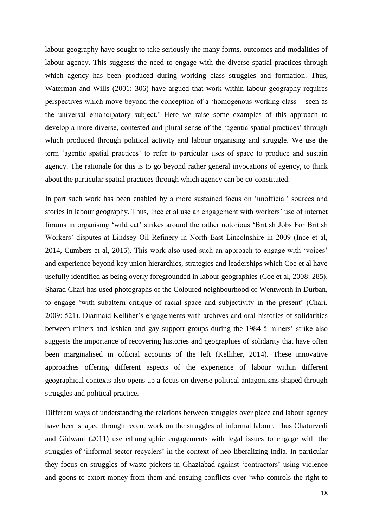labour geography have sought to take seriously the many forms, outcomes and modalities of labour agency. This suggests the need to engage with the diverse spatial practices through which agency has been produced during working class struggles and formation. Thus, Waterman and Wills (2001: 306) have argued that work within labour geography requires perspectives which move beyond the conception of a 'homogenous working class – seen as the universal emancipatory subject.' Here we raise some examples of this approach to develop a more diverse, contested and plural sense of the 'agentic spatial practices' through which produced through political activity and labour organising and struggle. We use the term 'agentic spatial practices' to refer to particular uses of space to produce and sustain agency. The rationale for this is to go beyond rather general invocations of agency, to think about the particular spatial practices through which agency can be co-constituted.

In part such work has been enabled by a more sustained focus on 'unofficial' sources and stories in labour geography. Thus, Ince et al use an engagement with workers' use of internet forums in organising 'wild cat' strikes around the rather notorious 'British Jobs For British Workers' disputes at Lindsey Oil Refinery in North East Lincolnshire in 2009 (Ince et al, 2014, Cumbers et al, 2015). This work also used such an approach to engage with 'voices' and experience beyond key union hierarchies, strategies and leaderships which Coe et al have usefully identified as being overly foregrounded in labour geographies (Coe et al, 2008: 285). Sharad Chari has used photographs of the Coloured neighbourhood of Wentworth in Durban, to engage 'with subaltern critique of racial space and subjectivity in the present' (Chari, 2009: 521). Diarmaid Kelliher's engagements with archives and oral histories of solidarities between miners and lesbian and gay support groups during the 1984-5 miners' strike also suggests the importance of recovering histories and geographies of solidarity that have often been marginalised in official accounts of the left (Kelliher, 2014). These innovative approaches offering different aspects of the experience of labour within different geographical contexts also opens up a focus on diverse political antagonisms shaped through struggles and political practice.

Different ways of understanding the relations between struggles over place and labour agency have been shaped through recent work on the struggles of informal labour. Thus Chaturvedi and Gidwani (2011) use ethnographic engagements with legal issues to engage with the struggles of 'informal sector recyclers' in the context of neo-liberalizing India. In particular they focus on struggles of waste pickers in Ghaziabad against 'contractors' using violence and goons to extort money from them and ensuing conflicts over 'who controls the right to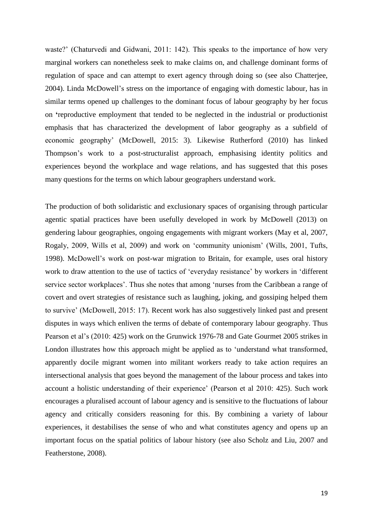waste?' (Chaturvedi and Gidwani, 2011: 142). This speaks to the importance of how very marginal workers can nonetheless seek to make claims on, and challenge dominant forms of regulation of space and can attempt to exert agency through doing so (see also Chatterjee, 2004). Linda McDowell's stress on the importance of engaging with domestic labour, has in similar terms opened up challenges to the dominant focus of labour geography by her focus on **'**reproductive employment that tended to be neglected in the industrial or productionist emphasis that has characterized the development of labor geography as a subfield of economic geography' (McDowell, 2015: 3). Likewise Rutherford (2010) has linked Thompson's work to a post-structuralist approach, emphasising identity politics and experiences beyond the workplace and wage relations, and has suggested that this poses many questions for the terms on which labour geographers understand work.

The production of both solidaristic and exclusionary spaces of organising through particular agentic spatial practices have been usefully developed in work by McDowell (2013) on gendering labour geographies, ongoing engagements with migrant workers (May et al, 2007, Rogaly, 2009, Wills et al, 2009) and work on 'community unionism' (Wills, 2001, Tufts, 1998). McDowell's work on post-war migration to Britain, for example, uses oral history work to draw attention to the use of tactics of 'everyday resistance' by workers in 'different service sector workplaces'. Thus she notes that among 'nurses from the Caribbean a range of covert and overt strategies of resistance such as laughing, joking, and gossiping helped them to survive' (McDowell, 2015: 17). Recent work has also suggestively linked past and present disputes in ways which enliven the terms of debate of contemporary labour geography. Thus Pearson et al's (2010: 425) work on the Grunwick 1976-78 and Gate Gourmet 2005 strikes in London illustrates how this approach might be applied as to 'understand what transformed, apparently docile migrant women into militant workers ready to take action requires an intersectional analysis that goes beyond the management of the labour process and takes into account a holistic understanding of their experience' (Pearson et al 2010: 425). Such work encourages a pluralised account of labour agency and is sensitive to the fluctuations of labour agency and critically considers reasoning for this. By combining a variety of labour experiences, it destabilises the sense of who and what constitutes agency and opens up an important focus on the spatial politics of labour history (see also Scholz and Liu, 2007 and Featherstone, 2008).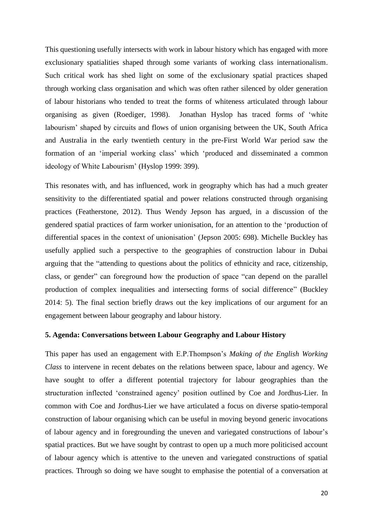This questioning usefully intersects with work in labour history which has engaged with more exclusionary spatialities shaped through some variants of working class internationalism. Such critical work has shed light on some of the exclusionary spatial practices shaped through working class organisation and which was often rather silenced by older generation of labour historians who tended to treat the forms of whiteness articulated through labour organising as given (Roediger, 1998). Jonathan Hyslop has traced forms of 'white labourism' shaped by circuits and flows of union organising between the UK, South Africa and Australia in the early twentieth century in the pre-First World War period saw the formation of an 'imperial working class' which 'produced and disseminated a common ideology of White Labourism' (Hyslop 1999: 399).

This resonates with, and has influenced, work in geography which has had a much greater sensitivity to the differentiated spatial and power relations constructed through organising practices (Featherstone, 2012). Thus Wendy Jepson has argued, in a discussion of the gendered spatial practices of farm worker unionisation, for an attention to the 'production of differential spaces in the context of unionisation' (Jepson 2005: 698). Michelle Buckley has usefully applied such a perspective to the geographies of construction labour in Dubai arguing that the "attending to questions about the politics of ethnicity and race, citizenship, class, or gender" can foreground how the production of space "can depend on the parallel production of complex inequalities and intersecting forms of social difference" (Buckley 2014: 5). The final section briefly draws out the key implications of our argument for an engagement between labour geography and labour history.

## **5. Agenda: Conversations between Labour Geography and Labour History**

This paper has used an engagement with E.P.Thompson's *Making of the English Working Class* to intervene in recent debates on the relations between space, labour and agency. We have sought to offer a different potential trajectory for labour geographies than the structuration inflected 'constrained agency' position outlined by Coe and Jordhus-Lier. In common with Coe and Jordhus-Lier we have articulated a focus on diverse spatio-temporal construction of labour organising which can be useful in moving beyond generic invocations of labour agency and in foregrounding the uneven and variegated constructions of labour's spatial practices. But we have sought by contrast to open up a much more politicised account of labour agency which is attentive to the uneven and variegated constructions of spatial practices. Through so doing we have sought to emphasise the potential of a conversation at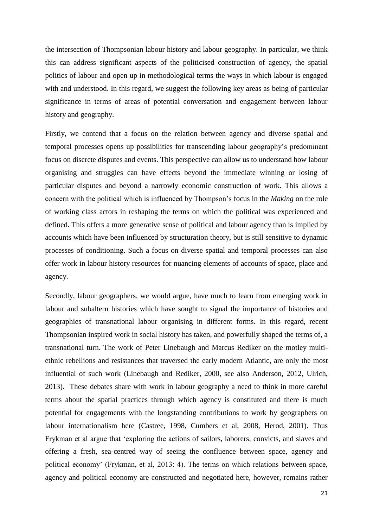the intersection of Thompsonian labour history and labour geography. In particular, we think this can address significant aspects of the politicised construction of agency, the spatial politics of labour and open up in methodological terms the ways in which labour is engaged with and understood. In this regard, we suggest the following key areas as being of particular significance in terms of areas of potential conversation and engagement between labour history and geography.

Firstly, we contend that a focus on the relation between agency and diverse spatial and temporal processes opens up possibilities for transcending labour geography's predominant focus on discrete disputes and events. This perspective can allow us to understand how labour organising and struggles can have effects beyond the immediate winning or losing of particular disputes and beyond a narrowly economic construction of work. This allows a concern with the political which is influenced by Thompson's focus in the *Making* on the role of working class actors in reshaping the terms on which the political was experienced and defined. This offers a more generative sense of political and labour agency than is implied by accounts which have been influenced by structuration theory, but is still sensitive to dynamic processes of conditioning. Such a focus on diverse spatial and temporal processes can also offer work in labour history resources for nuancing elements of accounts of space, place and agency.

Secondly, labour geographers, we would argue, have much to learn from emerging work in labour and subaltern histories which have sought to signal the importance of histories and geographies of transnational labour organising in different forms. In this regard, recent Thompsonian inspired work in social history has taken, and powerfully shaped the terms of, a transnational turn. The work of Peter Linebaugh and Marcus Rediker on the motley multiethnic rebellions and resistances that traversed the early modern Atlantic, are only the most influential of such work (Linebaugh and Rediker, 2000, see also Anderson, 2012, Ulrich, 2013).These debates share with work in labour geography a need to think in more careful terms about the spatial practices through which agency is constituted and there is much potential for engagements with the longstanding contributions to work by geographers on labour internationalism here (Castree, 1998, Cumbers et al, 2008, Herod, 2001). Thus Frykman et al argue that 'exploring the actions of sailors, laborers, convicts, and slaves and offering a fresh, sea-centred way of seeing the confluence between space, agency and political economy' (Frykman, et al, 2013: 4). The terms on which relations between space, agency and political economy are constructed and negotiated here, however, remains rather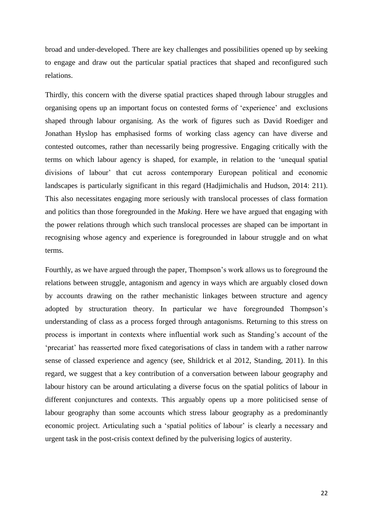broad and under-developed. There are key challenges and possibilities opened up by seeking to engage and draw out the particular spatial practices that shaped and reconfigured such relations.

Thirdly, this concern with the diverse spatial practices shaped through labour struggles and organising opens up an important focus on contested forms of 'experience' and exclusions shaped through labour organising. As the work of figures such as David Roediger and Jonathan Hyslop has emphasised forms of working class agency can have diverse and contested outcomes, rather than necessarily being progressive. Engaging critically with the terms on which labour agency is shaped, for example, in relation to the 'unequal spatial divisions of labour' that cut across contemporary European political and economic landscapes is particularly significant in this regard (Hadjimichalis and Hudson, 2014: 211). This also necessitates engaging more seriously with translocal processes of class formation and politics than those foregrounded in the *Making*. Here we have argued that engaging with the power relations through which such translocal processes are shaped can be important in recognising whose agency and experience is foregrounded in labour struggle and on what terms.

Fourthly, as we have argued through the paper, Thompson's work allows us to foreground the relations between struggle, antagonism and agency in ways which are arguably closed down by accounts drawing on the rather mechanistic linkages between structure and agency adopted by structuration theory. In particular we have foregrounded Thompson's understanding of class as a process forged through antagonisms. Returning to this stress on process is important in contexts where influential work such as Standing's account of the 'precariat' has reasserted more fixed categorisations of class in tandem with a rather narrow sense of classed experience and agency (see, Shildrick et al 2012, Standing, 2011). In this regard, we suggest that a key contribution of a conversation between labour geography and labour history can be around articulating a diverse focus on the spatial politics of labour in different conjunctures and contexts. This arguably opens up a more politicised sense of labour geography than some accounts which stress labour geography as a predominantly economic project. Articulating such a 'spatial politics of labour' is clearly a necessary and urgent task in the post-crisis context defined by the pulverising logics of austerity.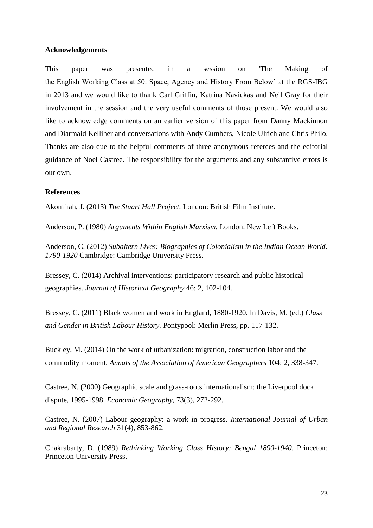## **Acknowledgements**

This paper was presented in a session on 'The Making of the English Working Class at 50: Space, Agency and History From Below' at the RGS-IBG in 2013 and we would like to thank Carl Griffin, Katrina Navickas and Neil Gray for their involvement in the session and the very useful comments of those present. We would also like to acknowledge comments on an earlier version of this paper from Danny Mackinnon and Diarmaid Kelliher and conversations with Andy Cumbers, Nicole Ulrich and Chris Philo. Thanks are also due to the helpful comments of three anonymous referees and the editorial guidance of Noel Castree. The responsibility for the arguments and any substantive errors is our own.

## **References**

Akomfrah, J. (2013) *The Stuart Hall Project.* London: British Film Institute.

Anderson, P. (1980) *Arguments Within English Marxism.* London: New Left Books.

Anderson, C. (2012) *Subaltern Lives: Biographies of Colonialism in the Indian Ocean World. 1790-1920* Cambridge: Cambridge University Press.

Bressey, C. (2014) Archival interventions: participatory research and public historical geographies. *Journal of Historical Geography* 46: 2, 102-104.

Bressey, C. (2011) Black women and work in England, 1880-1920. In Davis, M. (ed.) *Class and Gender in British Labour History.* Pontypool: Merlin Press, pp. 117-132.

Buckley, M. (2014) On the work of urbanization: migration, construction labor and the commodity moment. *Annals of the Association of American Geographers* 104: 2, 338-347.

Castree, N. (2000) Geographic scale and grass-roots internationalism: the Liverpool dock dispute, 1995-1998. *Economic Geography*, 73(3), 272-292.

Castree, N. (2007) Labour geography: a work in progress. *International Journal of Urban and Regional Research* 31(4), 853-862.

Chakrabarty, D. (1989) *Rethinking Working Class History: Bengal 1890-1940.* Princeton: Princeton University Press.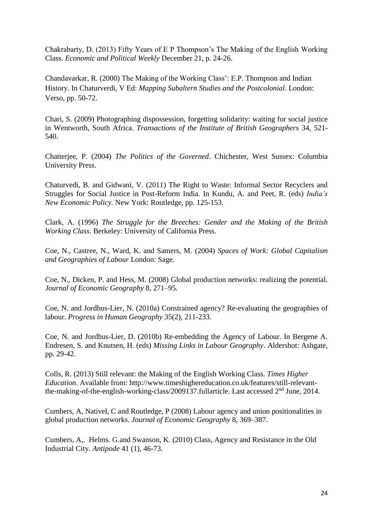Chakrabarty, D. (2013) Fifty Years of E P Thompson's The Making of the English Working Class. *Economic and Political Weekly* December 21, p. 24-26.

Chandavarkar, R. (2000) The Making of the Working Class': E.P. Thompson and Indian History. In Chaturverdi, V Ed: *Mapping Subaltern Studies and the Postcolonial*. London: Verso, pp. 50-72.

Chari, S. (2009) Photographing dispossession, forgetting solidarity: waiting for social justice in Wentworth, South Africa. *Transactions of the Institute of British Geographers* 34, 521- 540.

Chatterjee, P. (2004) *The Politics of the Governed*. Chichester, West Sussex: Columbia University Press.

Chaturvedi, B. and Gidwani, V. (2011) The Right to Waste: Informal Sector Recyclers and Struggles for Social Justice in Post-Reform India. In Kundu, A. and Peet, R. (eds) *India's New Economic Policy.* New York: Routledge, pp. 125-153.

Clark, A. (1996) *The Struggle for the Breeches: Gender and the Making of the British Working Class.* Berkeley: University of California Press.

Coe, N., Castree, N., Ward, K. and Samers, M. (2004) *Spaces of Work: Global Capitalism and Geographies of Labour* London: Sage.

Coe, N., Dicken, P. and Hess, M. (2008) Global production networks: realizing the potential. *Journal of Economic Geography* 8, 271–95.

Coe, N. and Jordhus-Lier, N. (2010a) Constrained agency? Re-evaluating the geographies of labour. *Progress in Human Geography* 35(2), 211-233.

Coe, N. and Jordhus-Lier, D. (2010b) Re-embedding the Agency of Labour. In Bergene A. Endresen, S. and Knutsen, H. (eds) *Missing Links in Labour Geography*. Aldershot: Ashgate, pp. 29-42.

Colls, R. (2013) Still relevant: the Making of the English Working Class. *Times Higher Education*. Available from: [http://www.timeshighereducation.co.uk/features/still-relevant](http://www.timeshighereducation.co.uk/features/still-relevant-the-making-of-the-english-working-class/2009137.fullarticle)[the-making-of-the-english-working-class/2009137.fullarticle.](http://www.timeshighereducation.co.uk/features/still-relevant-the-making-of-the-english-working-class/2009137.fullarticle) Last accessed  $2<sup>nd</sup>$  June, 2014.

Cumbers, A, Nativel, C and Routledge, P (2008) Labour agency and union positionalities in global production networks. *Journal of Economic Geography* 8, 369–387.

Cumbers, A,. Helms. G.and Swanson, K. (2010) Class, Agency and Resistance in the Old Industrial City. *Antipode* 41 (1), 46-73.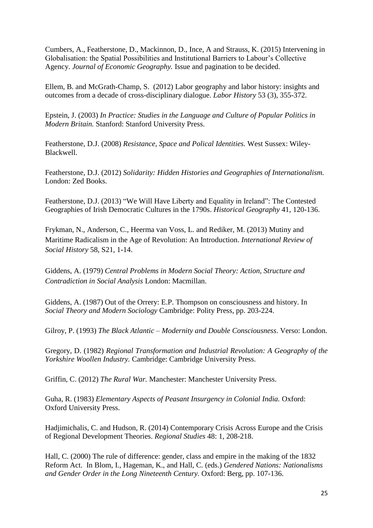Cumbers, A., Featherstone, D., Mackinnon, D., Ince, A and Strauss, K. (2015) Intervening in Globalisation: the Spatial Possibilities and Institutional Barriers to Labour's Collective Agency. *Journal of Economic Geography.* Issue and pagination to be decided.

Ellem, B. and McGrath-Champ, S. (2012) Labor geography and labor history: insights and outcomes from a decade of cross-disciplinary dialogue. *Labor History* 53 (3), 355-372.

Epstein, J. (2003) *In Practice: Studies in the Language and Culture of Popular Politics in Modern Britain.* Stanford: Stanford University Press.

Featherstone, D.J. (2008) *Resistance, Space and Polical Identities.* West Sussex: Wiley-Blackwell.

Featherstone, D.J. (2012) *Solidarity: Hidden Histories and Geographies of Internationalism.* London: Zed Books.

Featherstone, D.J. (2013) "We Will Have Liberty and Equality in Ireland": The Contested Geographies of Irish Democratic Cultures in the 1790s. *Historical Geography* 41, 120-136.

Frykman, N., Anderson, C., Heerma van Voss, L. and Rediker, M. (2013) Mutiny and Maritime Radicalism in the Age of Revolution: An Introduction. *International Review of Social History* 58, S21, 1-14.

Giddens, A. (1979) *Central Problems in Modern Social Theory: Action, Structure and Contradiction in Social Analysis* London: Macmillan.

Giddens, A. (1987) Out of the Orrery: E.P. Thompson on consciousness and history. In *Social Theory and Modern Sociology* Cambridge: Polity Press, pp. 203-224.

Gilroy, P. (1993) *The Black Atlantic – Modernity and Double Consciousness*. Verso: London.

Gregory, D. (1982) *Regional Transformation and Industrial Revolution: A Geography of the Yorkshire Woollen Industry.* Cambridge: Cambridge University Press.

Griffin, C. (2012) *The Rural War.* Manchester: Manchester University Press.

Guha, R. (1983) *Elementary Aspects of Peasant Insurgency in Colonial India.* Oxford: Oxford University Press.

Hadjimichalis, C. and Hudson, R. (2014) Contemporary Crisis Across Europe and the Crisis of Regional Development Theories. *Regional Studies* 48: 1, 208-218.

Hall, C. (2000) The rule of difference: gender, class and empire in the making of the 1832 Reform Act. In Blom, I., Hageman, K., and Hall, C. (eds.) *Gendered Nations: Nationalisms and Gender Order in the Long Nineteenth Century.* Oxford: Berg, pp. 107-136.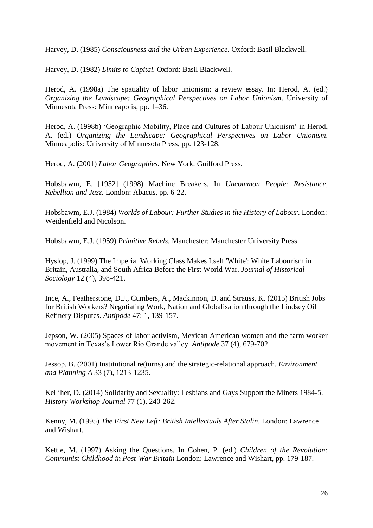Harvey, D. (1985) *Consciousness and the Urban Experience.* Oxford: Basil Blackwell.

Harvey, D. (1982) *Limits to Capital.* Oxford: Basil Blackwell.

Herod, A. (1998a) The spatiality of labor unionism: a review essay. In: Herod, A. (ed.) *Organizing the Landscape: Geographical Perspectives on Labor Unionism*. University of Minnesota Press: Minneapolis, pp. 1–36.

Herod, A. (1998b) 'Geographic Mobility, Place and Cultures of Labour Unionism' in Herod, A. (ed.) *Organizing the Landscape: Geographical Perspectives on Labor Unionism*. Minneapolis: University of Minnesota Press, pp. 123-128.

Herod, A. (2001) *Labor Geographies.* New York: Guilford Press.

Hobsbawm, E. [1952] (1998) Machine Breakers. In *Uncommon People: Resistance, Rebellion and Jazz.* London: Abacus, pp. 6-22.

Hobsbawm, E.J. (1984) *Worlds of Labour: Further Studies in the History of Labour*. London: Weidenfield and Nicolson.

Hobsbawm, E.J. (1959) *Primitive Rebels.* Manchester: Manchester University Press.

Hyslop, J. (1999) The Imperial Working Class Makes Itself 'White': White Labourism in Britain, Australia, and South Africa Before the First World War. *Journal of Historical Sociology* 12 (4), 398-421.

Ince, A., Featherstone, D.J., Cumbers, A., Mackinnon, D. and Strauss, K. (2015) British Jobs for British Workers? Negotiating Work, Nation and Globalisation through the Lindsey Oil Refinery Disputes. *Antipode* 47: 1, 139-157.

Jepson, W. (2005) Spaces of labor activism, Mexican American women and the farm worker movement in Texas's Lower Rio Grande valley. *Antipode* 37 (4), 679-702.

Jessop, B. (2001) Institutional re(turns) and the strategic-relational approach. *Environment and Planning A* 33 (7), 1213-1235.

Kelliher, D. (2014) Solidarity and Sexuality: Lesbians and Gays Support the Miners 1984-5. *History Workshop Journal* 77 (1), 240-262.

Kenny, M. (1995) *The First New Left: British Intellectuals After Stalin.* London: Lawrence and Wishart.

Kettle, M. (1997) Asking the Questions. In Cohen, P. (ed.) *Children of the Revolution: Communist Childhood in Post-War Britain* London: Lawrence and Wishart, pp. 179-187.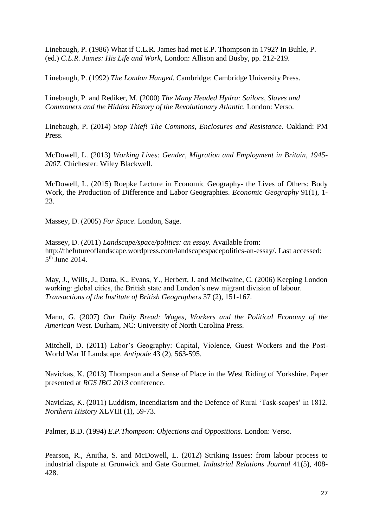Linebaugh, P. (1986) What if C.L.R. James had met E.P. Thompson in 1792? In Buhle, P. (ed.) *C.L.R. James: His Life and Work*, London: Allison and Busby, pp. 212-219.

Linebaugh, P. (1992) *The London Hanged.* Cambridge: Cambridge University Press.

Linebaugh, P. and Rediker, M. (2000) *The Many Headed Hydra: Sailors, Slaves and Commoners and the Hidden History of the Revolutionary Atlantic.* London: Verso.

Linebaugh, P. (2014) *Stop Thief! The Commons, Enclosures and Resistance.* Oakland: PM Press.

McDowell, L. (2013) *Working Lives: Gender, Migration and Employment in Britain, 1945- 2007.* Chichester: Wiley Blackwell.

McDowell, L. (2015) Roepke Lecture in Economic Geography- the Lives of Others: Body Work, the Production of Difference and Labor Geographies. *Economic Geography* 91(1), 1- 23.

Massey, D. (2005) *For Space*. London, Sage.

Massey, D. (2011) *Landscape/space/politics: an essay.* Available from: [http://thefutureoflandscape.wordpress.com/landscapespacepolitics-an-essay/.](http://thefutureoflandscape.wordpress.com/landscapespacepolitics-an-essay/) Last accessed: 5<sup>th</sup> June 2014.

May, J., Wills, J., Datta, K., Evans, Y., Herbert, J. and Mcllwaine, C. (2006) Keeping London working: global cities, the British state and London's new migrant division of labour. *Transactions of the Institute of British Geographers* 37 (2), 151-167.

Mann, G. (2007) *Our Daily Bread: Wages, Workers and the Political Economy of the American West.* Durham, NC: University of North Carolina Press.

Mitchell, D. (2011) Labor's Geography: Capital, Violence, Guest Workers and the Post-World War II Landscape. *Antipode* 43 (2), 563-595.

Navickas, K. (2013) Thompson and a Sense of Place in the West Riding of Yorkshire. Paper presented at *RGS IBG 2013* conference.

Navickas, K. (2011) Luddism, Incendiarism and the Defence of Rural 'Task-scapes' in 1812. *Northern History* XLVIII (1), 59-73.

Palmer, B.D. (1994) *E.P.Thompson: Objections and Oppositions.* London: Verso.

Pearson, R., Anitha, S. and McDowell, L. (2012) Striking Issues: from labour process to industrial dispute at Grunwick and Gate Gourmet. *Industrial Relations Journal* 41(5), 408- 428.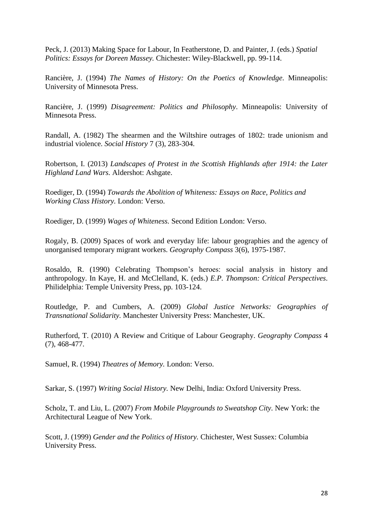Peck, J. (2013) Making Space for Labour, In Featherstone, D. and Painter, J. (eds.) *Spatial Politics: Essays for Doreen Massey.* Chichester: Wiley-Blackwell, pp. 99-114.

Rancière, J. (1994) *The Names of History: On the Poetics of Knowledge.* Minneapolis: University of Minnesota Press.

Rancière, J. (1999) *Disagreement: Politics and Philosophy*. Minneapolis: University of Minnesota Press.

Randall, A. (1982) The shearmen and the Wiltshire outrages of 1802: trade unionism and industrial violence. *Social History* 7 (3), 283-304.

Robertson, I. (2013) *Landscapes of Protest in the Scottish Highlands after 1914: the Later Highland Land Wars.* Aldershot: Ashgate.

Roediger, D. (1994) *Towards the Abolition of Whiteness: Essays on Race, Politics and Working Class History.* London: Verso.

Roediger, D. (1999) *Wages of Whiteness.* Second Edition London: Verso.

Rogaly, B. (2009) Spaces of work and everyday life: labour geographies and the agency of unorganised temporary migrant workers. *Geography Compass* 3(6), 1975-1987.

Rosaldo, R. (1990) Celebrating Thompson's heroes: social analysis in history and anthropology. In Kaye, H. and McClelland, K. (eds.) *E.P. Thompson: Critical Perspectives*. Philidelphia: Temple University Press, pp. 103-124.

Routledge, P. and Cumbers, A. (2009) *Global Justice Networks: Geographies of Transnational Solidarity.* Manchester University Press: Manchester, UK.

Rutherford, T. (2010) A Review and Critique of Labour Geography. *Geography Compass* 4 (7), 468-477.

Samuel, R. (1994) *Theatres of Memory.* London: Verso.

Sarkar, S. (1997) *Writing Social History.* New Delhi, India: Oxford University Press.

Scholz, T. and Liu, L. (2007) *From Mobile Playgrounds to Sweatshop City.* New York: the Architectural League of New York.

Scott, J. (1999) *Gender and the Politics of History.* Chichester, West Sussex: Columbia University Press.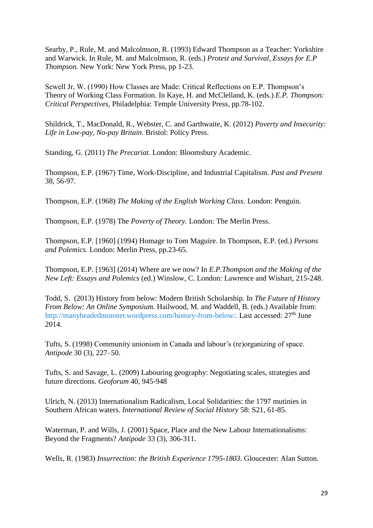Searby, P., Rule, M. and Malcolmson, R. (1993) Edward Thompson as a Teacher: Yorkshire and Warwick. In Rule, M. and Malcolmson, R. (eds.) *Protest and Survival*, *Essays for E.P Thompson.* New York: New York Press, pp 1-23.

Sewell Jr, W. (1990) How Classes are Made: Critical Reflections on E.P. Thompson's Theory of Working Class Formation. In Kaye, H. and McClelland, K. (eds.) *E.P. Thompson: Critical Perspectives*, Philadelphia: Temple University Press, pp.78-102.

Shildrick, T., MacDonald, R., Webster, C. and Garthwaite, K. (2012) *Poverty and Insecurity: Life in Low-pay, No-pay Britain.* Bristol: Policy Press.

Standing, G. (2011) *The Precariat.* London: Bloomsbury Academic.

Thompson, E.P. (1967) Time, Work-Discipline, and Industrial Capitalism. *Past and Present* 38, 56-97.

Thompson, E.P. (1968) *The Making of the English Working Class.* London: Penguin.

Thompson, E.P. (1978) The *Poverty of Theory.* London: The Merlin Press.

Thompson, E.P. [1960] (1994) Homage to Tom Maguire. In Thompson, E.P. (ed.) *Persons and Polemics.* London: Merlin Press, pp.23-65.

Thompson, E.P. [1963] (2014) Where are we now? In *E.P.Thompson and the Making of the New Left: Essays and Polemics* (ed.) Winslow, C. London: Lawrence and Wishart, 215-248.

Todd, S. (2013) History from below: Modern British Scholarship. In *The Future of History From Below: An Online Symposium.* Hailwood, M. and Waddell, B. (eds.) Available from: [http://manyheadedmonster.wordpress.com/history-from-below/.](http://manyheadedmonster.wordpress.com/history-from-below/) Last accessed: 27<sup>th</sup> June 2014.

Tufts, S. (1998) Community unionism in Canada and labour's (re)organizing of space. *Antipode* 30 (3), 227–50.

Tufts, S. and Savage, L. (2009) Labouring geography: Negotiating scales, strategies and future directions. *Geoforum* 40, 945-948

Ulrich, N. (2013) Internationalism Radicalism, Local Solidarities: the 1797 mutinies in Southern African waters. *International Review of Social History* 58: S21, 61-85.

Waterman, P. and Wills, J. (2001) Space, Place and the New Labour Internationalisms: Beyond the Fragments? *Antipode* 33 (3), 306-311.

Wells, R. (1983) *Insurrection: the British Experience 1795-1803.* Gloucester: Alan Sutton.